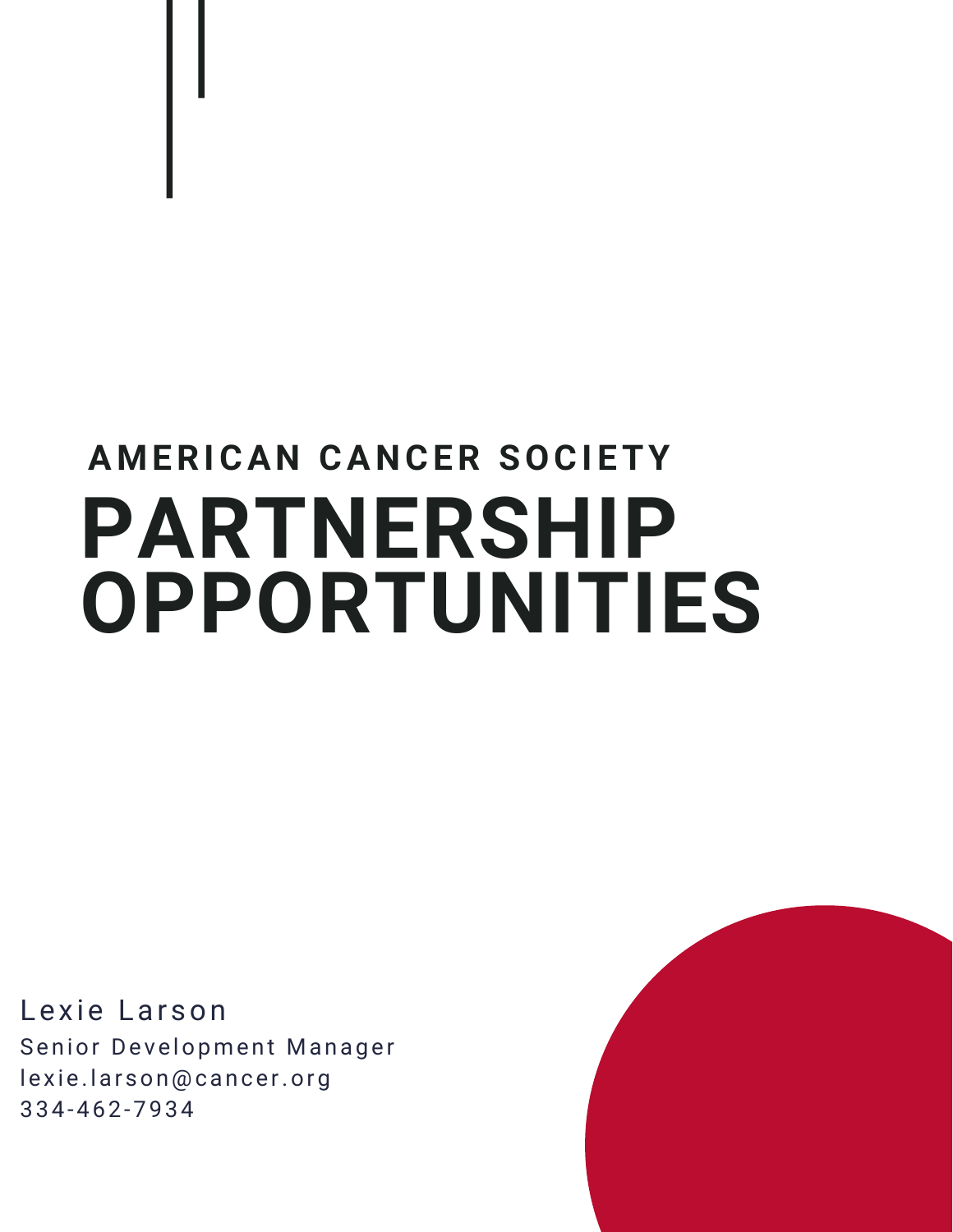# **PARTNERSHIP OPPORTUNITIES AMERICA N CA N CER SOCI ETY**

Lexie Larson Senior Development Manager lexie.larson@cancer.org 334-462-7934

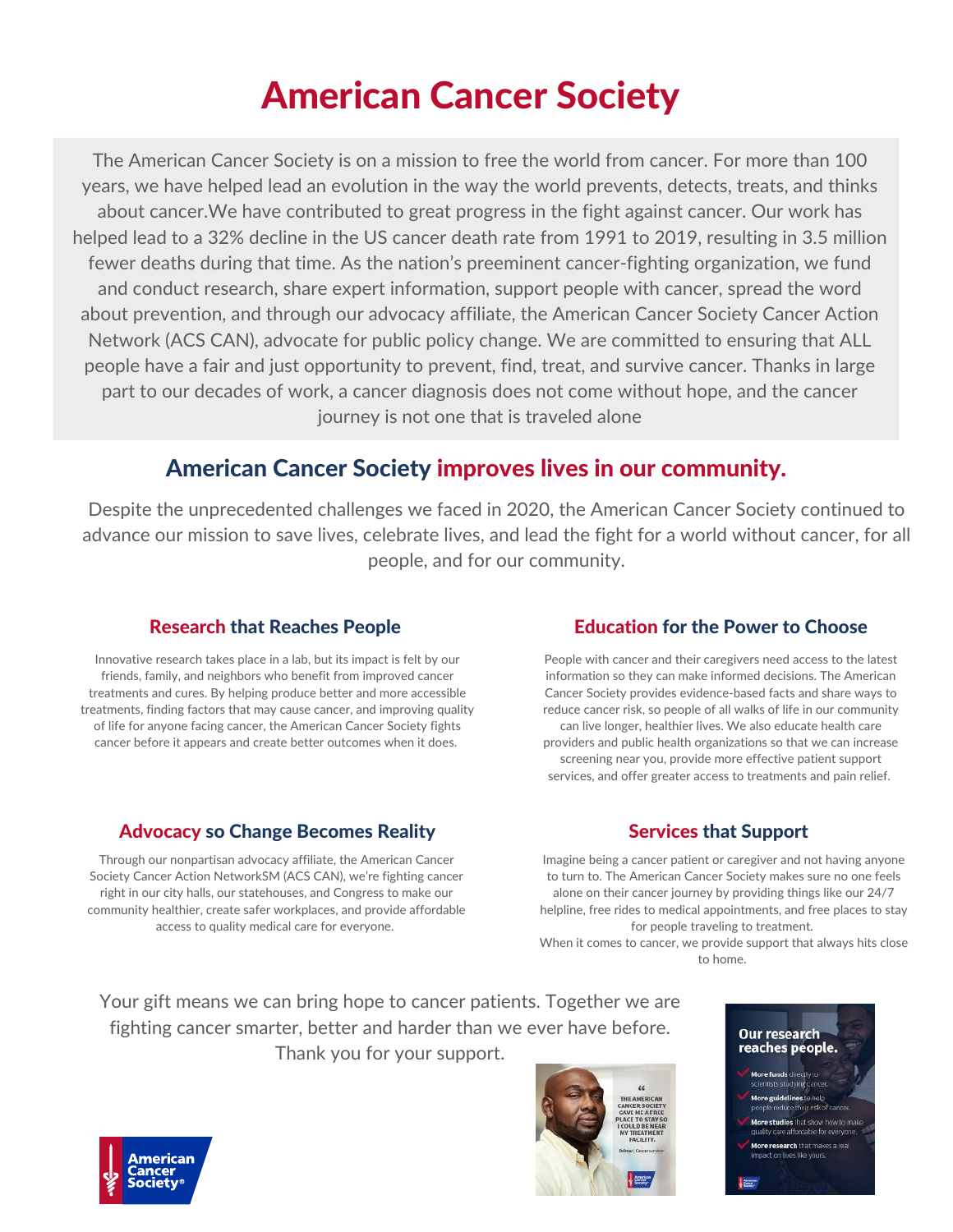# American Cancer Society

The American Cancer Society is on a mission to free the world from cancer. For more than 100 years, we have helped lead an evolution in the way the world prevents, detects, treats, and thinks about cancer.We have contributed to great progress in the fight against cancer. Our work has helped lead to a 32% decline in the US cancer death rate from 1991 to 2019, resulting in 3.5 million fewer deaths during that time. As the nation's preeminent cancer-fighting organization, we fund and conduct research, share expert information, support people with cancer, spread the word about prevention, and through our advocacy affiliate, the American Cancer Society Cancer Action Network (ACS CAN), advocate for public policy change. We are committed to ensuring that ALL people have a fair and just opportunity to prevent, find, treat, and survive cancer. Thanks in large part to our decades of work, a cancer diagnosis does not come without hope, and the cancer journey is not one that is traveled alone

### American Cancer Society improves lives in our community.

Despite the unprecedented challenges we faced in 2020, the American Cancer Society continued to advance our mission to save lives, celebrate lives, and lead the fight for a world without cancer, for all people, and for our community.

### Research that Reaches People

Innovative research takes place in a lab, but its impact is felt by our friends, family, and neighbors who benefit from improved cancer treatments and cures. By helping produce better and more accessible treatments, finding factors that may cause cancer, and improving quality of life for anyone facing cancer, the American Cancer Society fights cancer before it appears and create better outcomes when it does.

### Advocacy so Change Becomes Reality

Through our nonpartisan advocacy affiliate, the American Cancer Society Cancer Action NetworkSM (ACS CAN), we're fighting cancer right in our city halls, our statehouses, and Congress to make our community healthier, create safer workplaces, and provide affordable access to quality medical care for everyone.

### Education for the Power to Choose

People with cancer and their caregivers need access to the latest information so they can make informed decisions. The American Cancer Society provides evidence-based facts and share ways to reduce cancer risk, so people of all walks of life in our community can live longer, healthier lives. We also educate health care providers and public health organizations so that we can increase screening near you, provide more effective patient support services, and offer greater access to treatments and pain relief.

### Services that Support

Imagine being a cancer patient or caregiver and not having anyone to turn to. The American Cancer Society makes sure no one feels alone on their cancer journey by providing things like our 24/7 helpline, free rides to medical appointments, and free places to stay for people traveling to treatment.

When it comes to cancer, we provide support that always hits close to home.

Your gift means we can bring hope to cancer patients. Together we are fighting cancer smarter, better and harder than we ever have before. Thank you for your support.





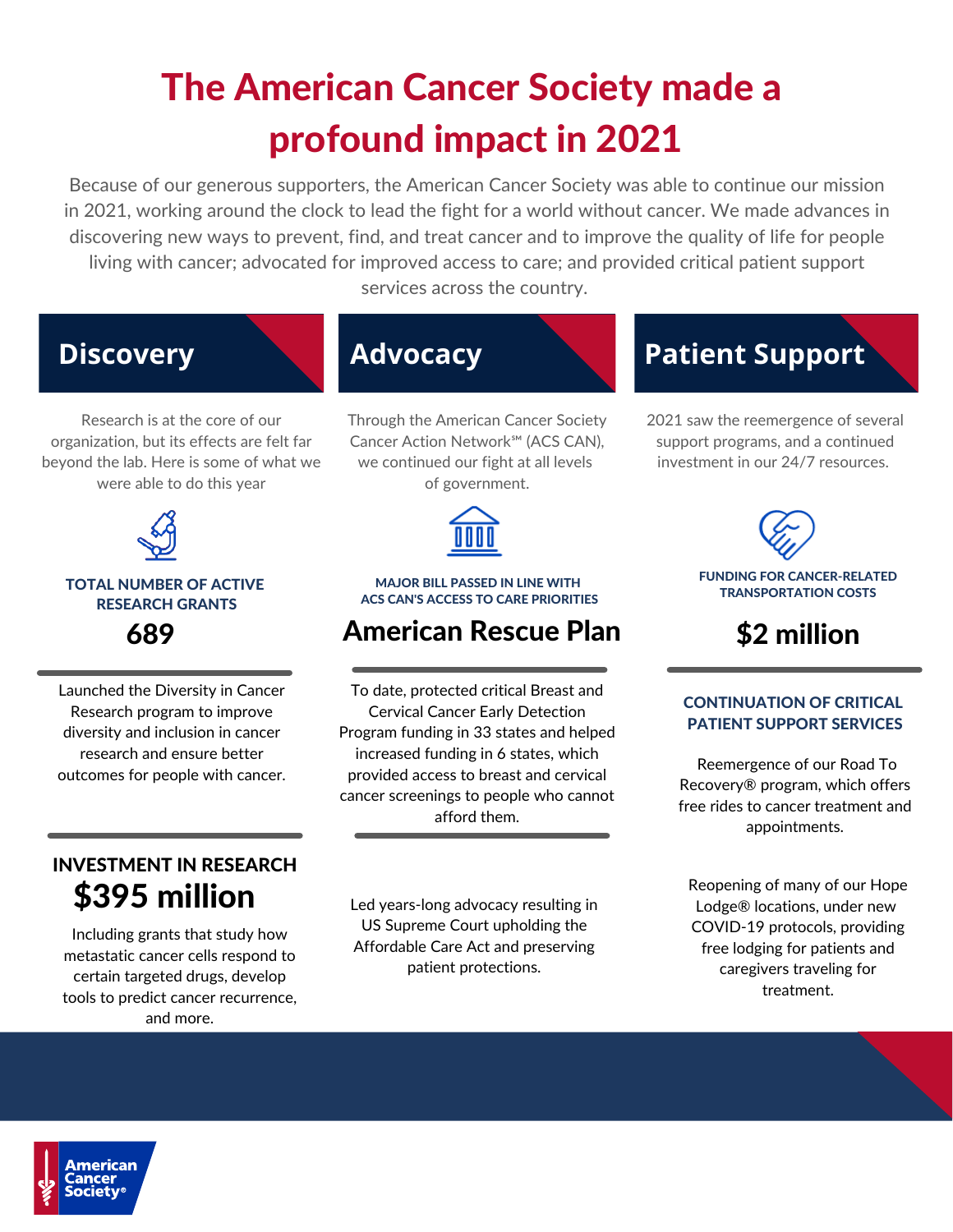# The American Cancer Society made a profound impact in 2021

Because of our generous supporters, the American Cancer Society was able to continue our mission in 2021, working around the clock to lead the fight for a world without cancer. We made advances in discovering new ways to prevent, find, and treat cancer and to improve the quality of life for people living with cancer; advocated for improved access to care; and provided critical patient support services across the country.

# **Discovery Advocacy**

Research is at the core of our organization, but its effects are felt far beyond the lab. Here is some of what we were able to do this year



#### TOTAL NUMBER OF ACTIVE RESEARCH GRANTS 689

Launched the Diversity in Cancer Research program to improve diversity and inclusion in cancer research and ensure better outcomes for people with cancer.

### INVESTMENT IN RESEARCH \$395 million

Including grants that study how metastatic cancer cells respond to certain targeted drugs, develop tools to predict cancer recurrence, and more.

Through the American Cancer Society Cancer Action Network℠ (ACS CAN), we continued our fight at all levels of government.



#### MAJOR BILL PASSED IN LINE WITH ACS CAN'S ACCESS TO CARE PRIORITIES

# American Rescue Plan

To date, protected critical Breast and Cervical Cancer Early Detection Program funding in 33 states and helped increased funding in 6 states, which provided access to breast and cervical cancer screenings to people who cannot afford them.

Led years-long advocacy resulting in US Supreme Court upholding the Affordable Care Act and preserving patient protections.

# **Patient Support**

2021 saw the reemergence of several support programs, and a continued investment in our 24/7 resources.



\$2 million

#### CONTINUATION OF CRITICAL PATIENT SUPPORT SERVICES

Reemergence of our Road To Recovery® program, which offers free rides to cancer treatment and appointments.

Reopening of many of our Hope Lodge® locations, under new COVID-19 protocols, providing free lodging for patients and caregivers traveling for treatment.

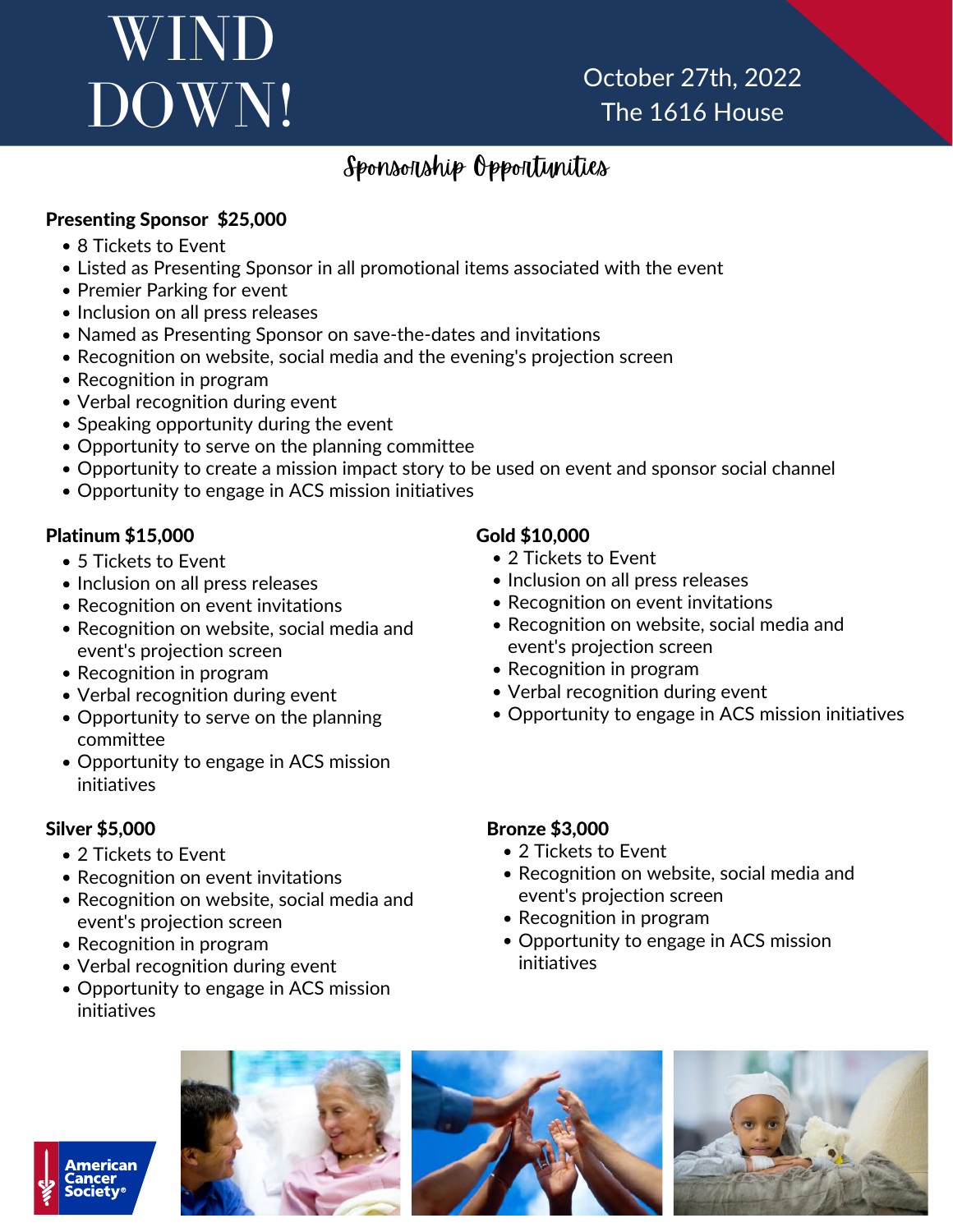# WIND DOWN!

October 27th, 2022 The 1616 House

### Sponsorship Opportunities

### Presenting Sponsor \$25,000

- 8 Tickets to Event
- Listed as Presenting Sponsor in all promotional items associated with the event
- Premier Parking for event
- Inclusion on all press releases
- Named as Presenting Sponsor on save-the-dates and invitations
- Recognition on website, social media and the evening's projection screen
- Recognition in program
- Verbal recognition during event
- Speaking opportunity during the event
- Opportunity to serve on the planning committee
- Opportunity to create a mission impact story to be used on event and sponsor social channel
- Opportunity to engage in ACS mission initiatives

### Platinum \$15,000

- 5 Tickets to Event
- Inclusion on all press releases
- Recognition on event invitations
- Recognition on website, social media and event's projection screen
- Recognition in program
- Verbal recognition during event
- Opportunity to serve on the planning committee
- Opportunity to engage in ACS mission initiatives

### Silver \$5,000

- 2 Tickets to Event
- Recognition on event invitations
- Recognition on website, social media and event's projection screen
- Recognition in program
- Verbal recognition during event
- Opportunity to engage in ACS mission initiatives

### Gold \$10,000

- 2 Tickets to Event
- Inclusion on all press releases
- Recognition on event invitations
- Recognition on website, social media and event's projection screen
- Recognition in program
- Verbal recognition during event
- Opportunity to engage in ACS mission initiatives

### Bronze \$3,000

- 2 Tickets to Event
- Recognition on website, social media and event's projection screen
- Recognition in program
- Opportunity to engage in ACS mission initiatives







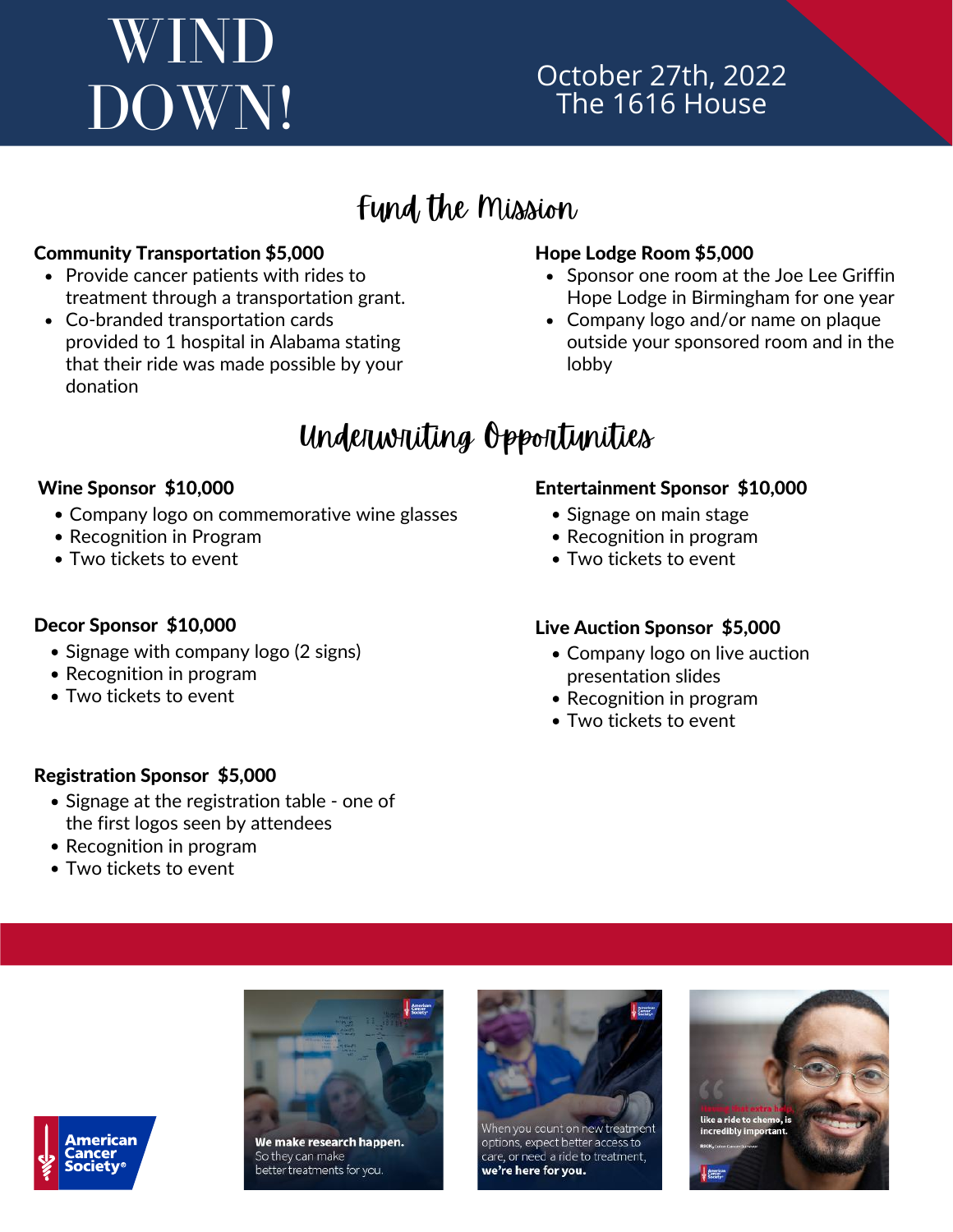# WIND DOWN!

### October 27th, 2022 The 1616 House

# Fund the Mission

### Community Transportation \$5,000

- Provide cancer patients with rides to treatment through a transportation grant.
- Co-branded transportation cards provided to 1 hospital in Alabama stating that their ride was made possible by your donation

### Hope Lodge Room \$5,000

- Sponsor one room at the Joe Lee Griffin Hope Lodge in Birmingham for one year
- Company logo and/or name on plaque outside your sponsored room and in the lobby

# Underwriting Opportunities

### Wine Sponsor \$10,000

- Company logo on commemorative wine glasses
- Recognition in Program
- Two tickets to event

### Decor Sponsor \$10,000

- Signage with company logo (2 signs)
- Recognition in program
- Two tickets to event

### Entertainment Sponsor \$10,000

- Signage on main stage
- Recognition in program
- Two tickets to event

### Live Auction Sponsor \$5,000

- Company logo on live auction presentation slides
- Recognition in program
- Two tickets to event

### Registration Sponsor \$5,000

- Signage at the registration table one of the first logos seen by attendees
- Recognition in program
- Two tickets to event



We make research happen. So they can make better treatments for you.



hen you count on new treatment options, expect better access to care, or need a ride to treatment, we're here for you.



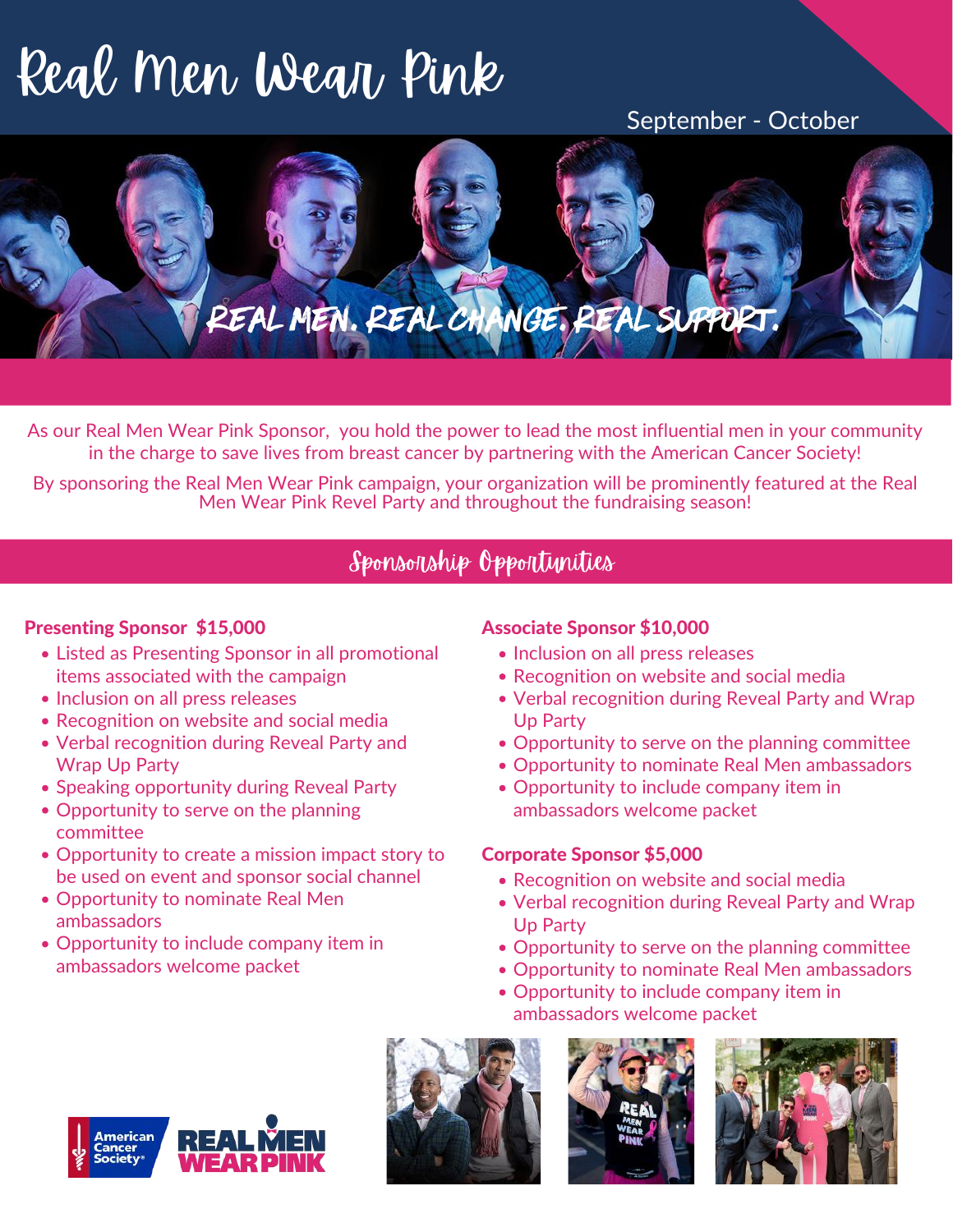# Real Men Wear Pink

### September - October



As our Real Men Wear Pink Sponsor, you hold the power to lead the most influential men in your community in the charge to save lives from breast cancer by partnering with the American Cancer Society!

By sponsoring the Real Men Wear Pink campaign, your organization will be prominently featured at the Real Men Wear Pink Revel Party and throughout the fundraising season!

### Sponsorship Opportunities

### Presenting Sponsor \$15,000

- Listed as Presenting Sponsor in all promotional items associated with the campaign
- Inclusion on all press releases
- Recognition on website and social media
- Verbal recognition during Reveal Party and Wrap Up Party
- Speaking opportunity during Reveal Party
- Opportunity to serve on the planning committee
- Opportunity to create a mission impact story to be used on event and sponsor social channel
- Opportunity to nominate Real Men ambassadors
- Opportunity to include company item in ambassadors welcome packet

### Associate Sponsor \$10,000

- Inclusion on all press releases
- Recognition on website and social media
- Verbal recognition during Reveal Party and Wrap Up Party
- Opportunity to serve on the planning committee
- Opportunity to nominate Real Men ambassadors
- Opportunity to include company item in ambassadors welcome packet

### Corporate Sponsor \$5,000

- Recognition on website and social media
- Verbal recognition during Reveal Party and Wrap Up Party
- Opportunity to serve on the planning committee
- Opportunity to nominate Real Men ambassadors
- Opportunity to include company item in ambassadors welcome packet